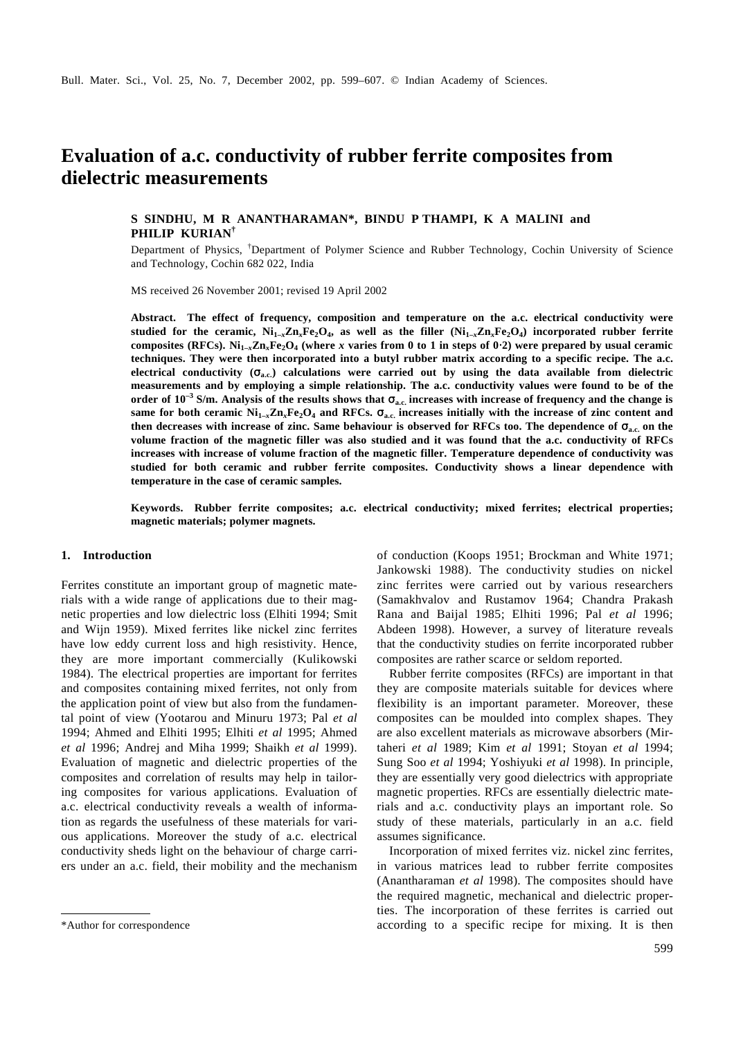# **Evaluation of a.c. conductivity of rubber ferrite composites from dielectric measurements**

# **S SINDHU, M R ANANTHARAMAN\*, BINDU P THAMPI, K A MALINI and PHILIP KURIAN†**

Department of Physics, †Department of Polymer Science and Rubber Technology, Cochin University of Science and Technology, Cochin 682 022, India

MS received 26 November 2001; revised 19 April 2002

**Abstract. The effect of frequency, composition and temperature on the a.c. electrical conductivity were** studied for the ceramic,  $\rm Ni_{1-x}Zn_xFe_2O_4$ , as well as the filler  $(\rm Ni_{1-x}Zn_xFe_2O_4)$  incorporated rubber ferrite **composites (RFCs). Ni1–***x***Zn***x***Fe2O<sup>4</sup> (where** *x* **varies from 0 to 1 in steps of 0**⋅**2) were prepared by usual ceramic techniques. They were then incorporated into a butyl rubber matrix according to a specific recipe. The a.c. electrical conductivity**  $(\mathbf{s}_{\text{a.c.}})$  **calculations were carried out by using the data available from dielectric measurements and by employing a simple relationship. The a.c. conductivity values were found to be of the order of 10–3 S/m. Analysis of the results shows that** *s***a.c. increases with increase of frequency and the change is**  same for both ceramic  $Ni_{1-x}Zn_xFe_2O_4$  and RFCs.  $\boldsymbol{s}_{\rm a.c.}$  increases initially with the increase of zinc content and **then decreases with increase of zinc. Same behaviour is observed for RFCs too. The dependence of**  $\mathbf{s}_a$ **. on the volume fraction of the magnetic filler was also studied and it was found that the a.c. conductivity of RFCs increases with increase of volume fraction of the magnetic filler. Temperature dependence of conductivity was studied for both ceramic and rubber ferrite composites. Conductivity shows a linear dependence with temperature in the case of ceramic samples.**

**Keywords. Rubber ferrite composites; a.c. electrical conductivity; mixed ferrites; electrical properties; magnetic materials; polymer magnets.**

## **1. Introduction**

Ferrites constitute an important group of magnetic materials with a wide range of applications due to their magnetic properties and low dielectric loss (Elhiti 1994; Smit and Wijn 1959). Mixed ferrites like nickel zinc ferrites have low eddy current loss and high resistivity. Hence, they are more important commercially (Kulikowski 1984). The electrical properties are important for ferrites and composites containing mixed ferrites, not only from the application point of view but also from the fundamental point of view (Yootarou and Minuru 1973; Pal *et al* 1994; Ahmed and Elhiti 1995; Elhiti *et al* 1995; Ahmed *et al* 1996; Andrej and Miha 1999; Shaikh *et al* 1999). Evaluation of magnetic and dielectric properties of the composites and correlation of results may help in tailoring composites for various applications. Evaluation of a.c. electrical conductivity reveals a wealth of information as regards the usefulness of these materials for various applications. Moreover the study of a.c. electrical conductivity sheds light on the behaviour of charge carriers under an a.c. field, their mobility and the mechanism

of conduction (Koops 1951; Brockman and White 1971; Jankowski 1988). The conductivity studies on nickel zinc ferrites were carried out by various researchers (Samakhvalov and Rustamov 1964; Chandra Prakash Rana and Baijal 1985; Elhiti 1996; Pal *et al* 1996; Abdeen 1998). However, a survey of literature reveals that the conductivity studies on ferrite incorporated rubber composites are rather scarce or seldom reported.

Rubber ferrite composites (RFCs) are important in that they are composite materials suitable for devices where flexibility is an important parameter. Moreover, these composites can be moulded into complex shapes. They are also excellent materials as microwave absorbers (Mirtaheri *et al* 1989; Kim *et al* 1991; Stoyan *et al* 1994; Sung Soo *et al* 1994; Yoshiyuki *et al* 1998). In principle, they are essentially very good dielectrics with appropriate magnetic properties. RFCs are essentially dielectric materials and a.c. conductivity plays an important role. So study of these materials, particularly in an a.c. field assumes significance.

Incorporation of mixed ferrites viz. nickel zinc ferrites, in various matrices lead to rubber ferrite composites (Anantharaman *et al* 1998). The composites should have the required magnetic, mechanical and dielectric properties. The incorporation of these ferrites is carried out \*Author for correspondence according to a specific recipe for mixing. It is then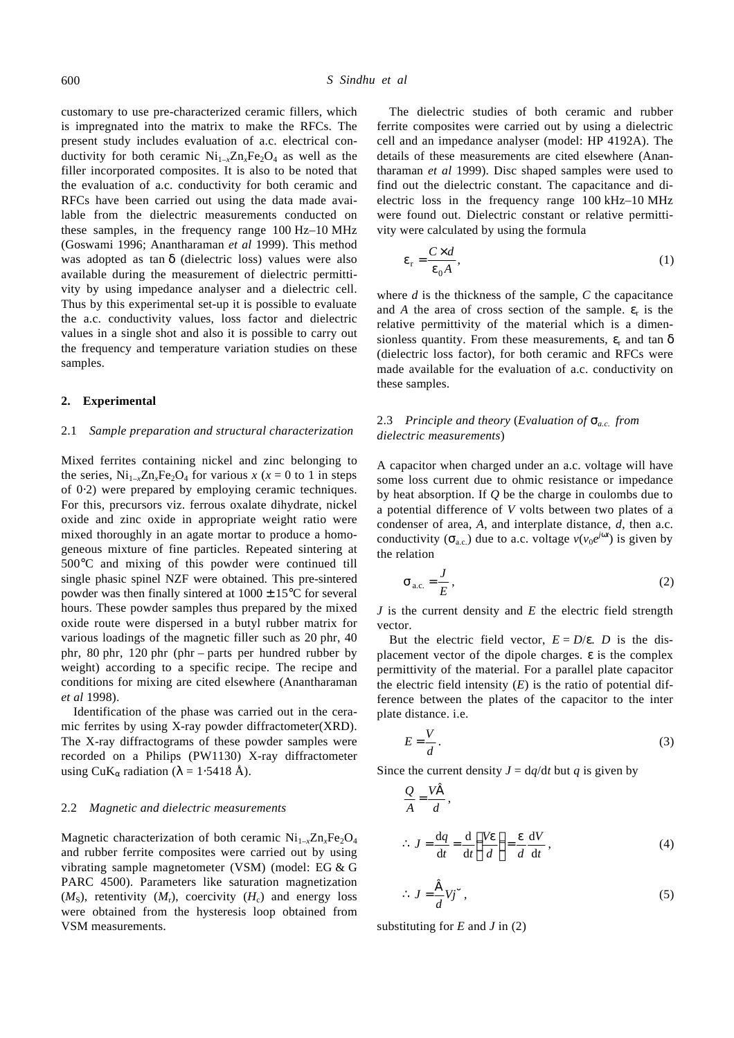customary to use pre-characterized ceramic fillers, which is impregnated into the matrix to make the RFCs. The present study includes evaluation of a.c. electrical conductivity for both ceramic  $Ni_{1-x}Zn_xFe_2O_4$  as well as the filler incorporated composites. It is also to be noted that the evaluation of a.c. conductivity for both ceramic and RFCs have been carried out using the data made available from the dielectric measurements conducted on these samples, in the frequency range 100 Hz–10 MHz (Goswami 1996; Anantharaman *et al* 1999). This method was adopted as tan *d* (dielectric loss) values were also available during the measurement of dielectric permittivity by using impedance analyser and a dielectric cell. Thus by this experimental set-up it is possible to evaluate the a.c. conductivity values, loss factor and dielectric values in a single shot and also it is possible to carry out the frequency and temperature variation studies on these samples.

## **2. Experimental**

## 2.1 *Sample preparation and structural characterization*

Mixed ferrites containing nickel and zinc belonging to the series,  $Ni_{1-x}Zn_xFe_2O_4$  for various *x* (*x* = 0 to 1 in steps of 0⋅2) were prepared by employing ceramic techniques. For this, precursors viz. ferrous oxalate dihydrate, nickel oxide and zinc oxide in appropriate weight ratio were mixed thoroughly in an agate mortar to produce a homogeneous mixture of fine particles. Repeated sintering at 500°C and mixing of this powder were continued till single phasic spinel NZF were obtained. This pre-sintered powder was then finally sintered at  $1000 \pm 15^{\circ}$ C for several hours. These powder samples thus prepared by the mixed oxide route were dispersed in a butyl rubber matrix for various loadings of the magnetic filler such as 20 phr, 40 phr, 80 phr, 120 phr (phr – parts per hundred rubber by weight) according to a specific recipe. The recipe and conditions for mixing are cited elsewhere (Anantharaman *et al* 1998).

Identification of the phase was carried out in the ceramic ferrites by using X-ray powder diffractometer(XRD). The X-ray diffractograms of these powder samples were recorded on a Philips (PW1130) X-ray diffractometer using CuK<sub>a</sub> radiation ( $\mathbf{I} = 1.5418$  Å).

#### 2.2 *Magnetic and dielectric measurements*

Magnetic characterization of both ceramic Ni<sub>1-x</sub>Zn<sub>x</sub>Fe<sub>2</sub>O<sub>4</sub> and rubber ferrite composites were carried out by using vibrating sample magnetometer (VSM) (model: EG & G PARC 4500). Parameters like saturation magnetization  $(M<sub>S</sub>)$ , retentivity  $(M<sub>r</sub>)$ , coercivity  $(H<sub>c</sub>)$  and energy loss were obtained from the hysteresis loop obtained from VSM measurements.

The dielectric studies of both ceramic and rubber ferrite composites were carried out by using a dielectric cell and an impedance analyser (model: HP 4192A). The details of these measurements are cited elsewhere (Anantharaman *et al* 1999). Disc shaped samples were used to find out the dielectric constant. The capacitance and dielectric loss in the frequency range 100 kHz–10 MHz were found out. Dielectric constant or relative permittivity were calculated by using the formula

$$
\mathbf{e}_{\rm r} = \frac{C \times d}{\mathbf{e}_{0} A},\tag{1}
$$

where *d* is the thickness of the sample, *C* the capacitance and *A* the area of cross section of the sample. *e*<sup>r</sup> is the relative permittivity of the material which is a dimensionless quantity. From these measurements, *e*<sup>r</sup> and tan *d* (dielectric loss factor), for both ceramic and RFCs were made available for the evaluation of a.c. conductivity on these samples.

# 2.3 *Principle and theory* (*Evaluation of sa.c. from dielectric measurements*)

A capacitor when charged under an a.c. voltage will have some loss current due to ohmic resistance or impedance by heat absorption. If *Q* be the charge in coulombs due to a potential difference of *V* volts between two plates of a condenser of area, *A*, and interplate distance, *d*, then a.c. conductivity ( $S_{a.c.}$ ) due to a.c. voltage  $v(v_0e^{j\mathbf{w}})$  is given by the relation

$$
\mathbf{s}_{\text{a.c.}} = \frac{J}{E},\tag{2}
$$

*J* is the current density and *E* the electric field strength vector.

But the electric field vector,  $E = D/e$ . *D* is the displacement vector of the dipole charges. *e* is the complex permittivity of the material. For a parallel plate capacitor the electric field intensity  $(E)$  is the ratio of potential difference between the plates of the capacitor to the inter plate distance. i.e.

$$
E = \frac{V}{d} \,. \tag{3}
$$

Since the current density  $J = dq/dt$  but *q* is given by

$$
\frac{Q}{A} = \frac{V\dot{a}}{d},
$$
  
\n
$$
\therefore J = \frac{dq}{dt} = \frac{d}{dt} \left(\frac{V\mathbf{e}}{d}\right) = \frac{\mathbf{e}}{d} \frac{dV}{dt},
$$
(4)

$$
\therefore J = \frac{\dot{a}}{d} V j \dot{u},\tag{5}
$$

substituting for  $E$  and  $J$  in (2)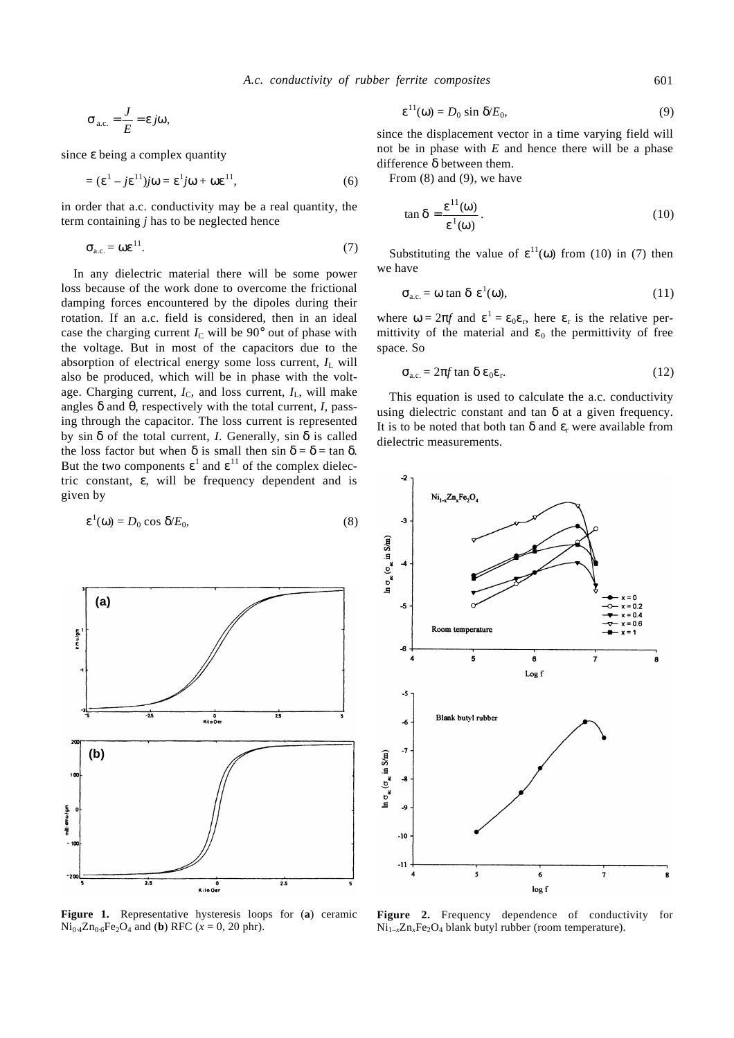$$
\mathbf{s}_{\text{a.c.}} = \frac{J}{E} = \mathbf{e}j\mathbf{w},
$$

since *e* being a complex quantity

$$
= (\mathbf{e}^1 - j\mathbf{e}^{11})j\mathbf{w} = \mathbf{e}^1 j\mathbf{w} + \mathbf{w}\mathbf{e}^{11},
$$
 (6)

in order that a.c. conductivity may be a real quantity, the term containing *j* has to be neglected hence

$$
\mathbf{s}_{\text{a.c.}} = \mathbf{w} \mathbf{e}^{11}.\tag{7}
$$

In any dielectric material there will be some power loss because of the work done to overcome the frictional damping forces encountered by the dipoles during their rotation. If an a.c. field is considered, then in an ideal case the charging current  $I<sub>C</sub>$  will be 90 $^{\circ}$  out of phase with the voltage. But in most of the capacitors due to the absorption of electrical energy some loss current,  $I_L$  will also be produced, which will be in phase with the voltage. Charging current,  $I_C$ , and loss current,  $I_L$ , will make angles *d* and *q*, respectively with the total current, *I*, passing through the capacitor. The loss current is represented by sin *d* of the total current, *I*. Generally, sin *d* is called the loss factor but when **d** is small then sin  $\mathbf{d} = \mathbf{d} = \tan \mathbf{d}$ . But the two components  $\mathbf{e}^1$  and  $\mathbf{e}^{11}$  of the complex dielectric constant, *e*, will be frequency dependent and is given by

$$
\mathbf{e}^1(\mathbf{w}) = D_0 \cos \mathbf{d} E_0, \tag{8}
$$



**Figure 1.** Representative hysteresis loops for (**a**) ceramic  $Ni_{0.4}Zn_{0.6}Fe_2O_4$  and (**b**) RFC ( $x = 0, 20$  phr).

$$
\mathbf{e}^{11}(\mathbf{w}) = D_0 \sin \mathbf{d} E_0,\tag{9}
$$

since the displacement vector in a time varying field will not be in phase with *E* and hence there will be a phase difference *d* between them.

From (8) and (9), we have

$$
\tan \mathbf{d} = \frac{\mathbf{e}^{11}(\mathbf{w})}{\mathbf{e}^{1}(\mathbf{w})}.
$$
 (10)

Substituting the value of  $e^{11}(w)$  from (10) in (7) then we have

$$
\mathbf{S}_{\text{a.c.}} = \mathbf{w} \tan \mathbf{d} \mathbf{e}^1(\mathbf{w}), \tag{11}
$$

where  $w = 2p f$  and  $e^1 = e_0 e_r$ , here  $e_r$  is the relative permittivity of the material and  $\mathbf{e}_0$  the permittivity of free space. So

$$
\mathbf{s}_{\text{a.c.}} = 2\mathbf{p}f \tan \mathbf{d} \mathbf{e}_0 \mathbf{e}_r. \tag{12}
$$

This equation is used to calculate the a.c. conductivity using dielectric constant and tan *d* at a given frequency. It is to be noted that both tan *d* and *e*<sup>r</sup> were available from dielectric measurements.



**Figure 2.** Frequency dependence of conductivity for Ni<sub>1-x</sub>Zn<sub>x</sub>Fe<sub>2</sub>O<sub>4</sub> blank butyl rubber (room temperature).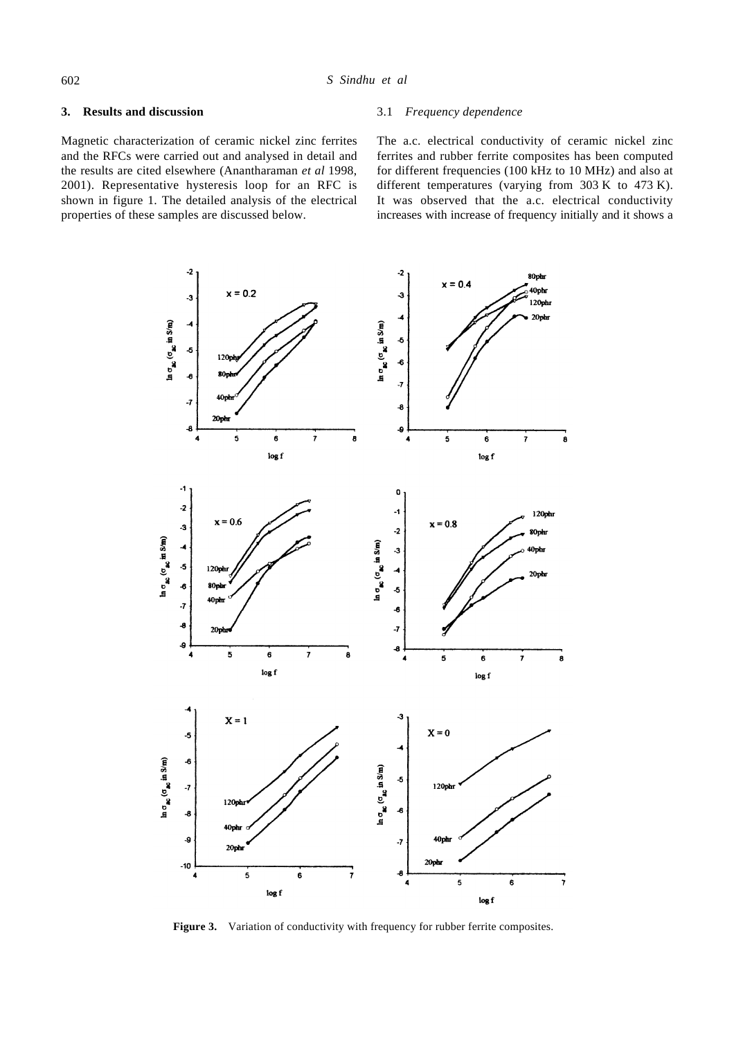# **3. Results and discussion**

Magnetic characterization of ceramic nickel zinc ferrites and the RFCs were carried out and analysed in detail and the results are cited elsewhere (Anantharaman *et al* 1998, 2001). Representative hysteresis loop for an RFC is shown in figure 1. The detailed analysis of the electrical properties of these samples are discussed below.

# 3.1 *Frequency dependence*

The a.c. electrical conductivity of ceramic nickel zinc ferrites and rubber ferrite composites has been computed for different frequencies (100 kHz to 10 MHz) and also at different temperatures (varying from 303 K to 473 K). It was observed that the a.c. electrical conductivity increases with increase of frequency initially and it shows a



Figure 3. Variation of conductivity with frequency for rubber ferrite composites.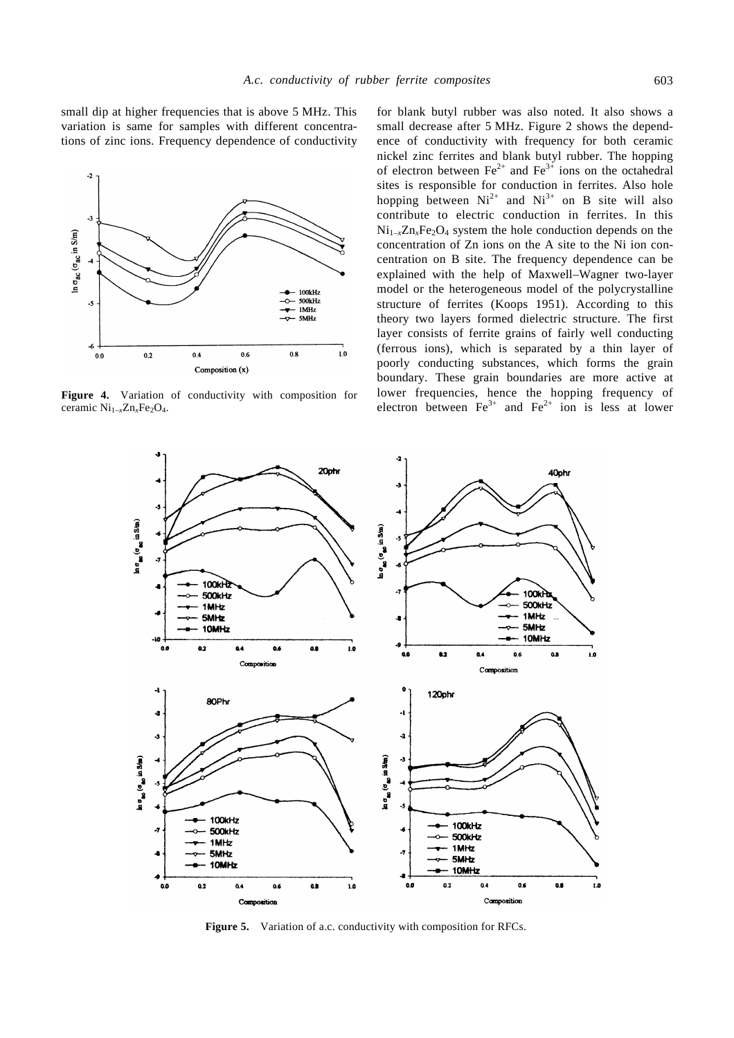small dip at higher frequencies that is above 5 MHz. This variation is same for samples with different concentrations of zinc ions. Frequency dependence of conductivity



**Figure 4.** Variation of conductivity with composition for ceramic Ni<sub>1-x</sub>Zn<sub>x</sub>Fe<sub>2</sub>O<sub>4</sub>.

for blank butyl rubber was also noted. It also shows a small decrease after 5 MHz. Figure 2 shows the dependence of conductivity with frequency for both ceramic nickel zinc ferrites and blank butyl rubber. The hopping of electron between  $Fe^{2+}$  and  $Fe^{3+}$  ions on the octahedral sites is responsible for conduction in ferrites. Also hole hopping between  $Ni^{2+}$  and  $Ni^{3+}$  on B site will also contribute to electric conduction in ferrites. In this  $Ni_{1-x}Zn_xFe_2O_4$  system the hole conduction depends on the concentration of Zn ions on the A site to the Ni ion concentration on B site. The frequency dependence can be explained with the help of Maxwell–Wagner two-layer model or the heterogeneous model of the polycrystalline structure of ferrites (Koops 1951). According to this theory two layers formed dielectric structure. The first layer consists of ferrite grains of fairly well conducting (ferrous ions), which is separated by a thin layer of poorly conducting substances, which forms the grain boundary. These grain boundaries are more active at lower frequencies, hence the hopping frequency of electron between  $Fe^{3+}$  and  $Fe^{2+}$  ion is less at lower



Figure 5. Variation of a.c. conductivity with composition for RFCs.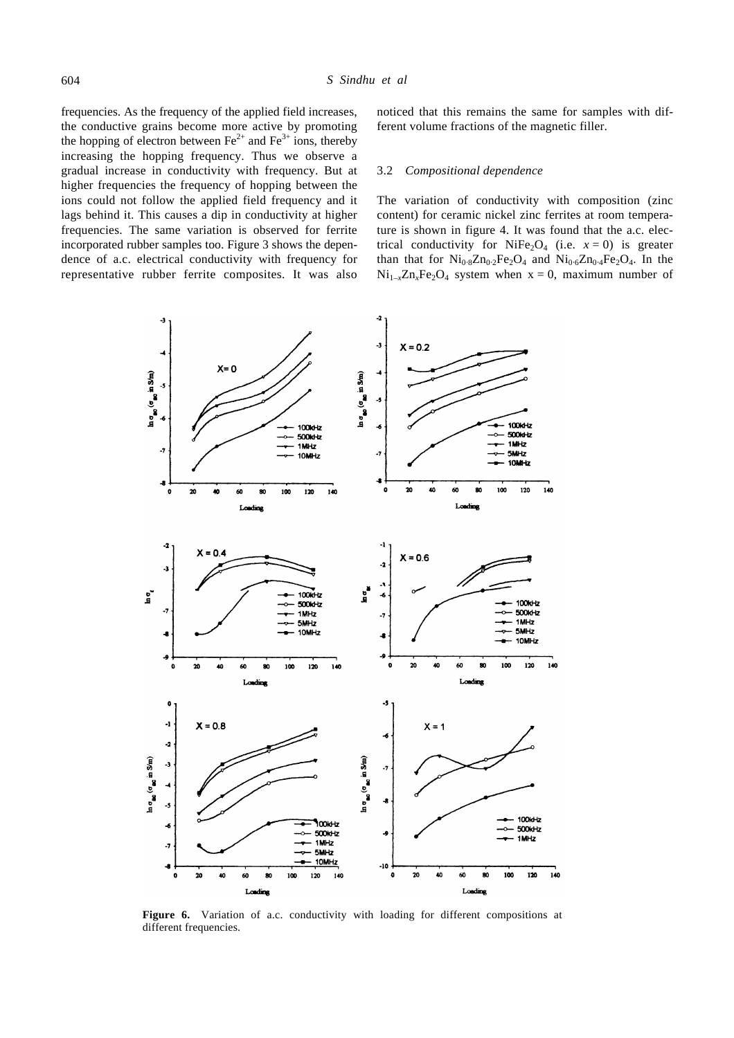frequencies. As the frequency of the applied field increases, the conductive grains become more active by promoting the hopping of electron between  $\text{Fe}^{2+}$  and  $\text{Fe}^{3+}$  ions, thereby increasing the hopping frequency. Thus we observe a gradual increase in conductivity with frequency. But at higher frequencies the frequency of hopping between the ions could not follow the applied field frequency and it lags behind it. This causes a dip in conductivity at higher frequencies. The same variation is observed for ferrite incorporated rubber samples too. Figure 3 shows the dependence of a.c. electrical conductivity with frequency for representative rubber ferrite composites. It was also

noticed that this remains the same for samples with different volume fractions of the magnetic filler.

## 3.2 *Compositional dependence*

The variation of conductivity with composition (zinc content) for ceramic nickel zinc ferrites at room temperature is shown in figure 4. It was found that the a.c. electrical conductivity for NiFe<sub>2</sub>O<sub>4</sub> (i.e.  $x = 0$ ) is greater than that for  $Ni<sub>0.8</sub>Zn<sub>0.2</sub>Fe<sub>2</sub>O<sub>4</sub>$  and  $Ni<sub>0.6</sub>Zn<sub>0.4</sub>Fe<sub>2</sub>O<sub>4</sub>$ . In the  $Ni_{1-x}Zn_xFe_2O_4$  system when  $x = 0$ , maximum number of



Figure 6. Variation of a.c. conductivity with loading for different compositions at different frequencies.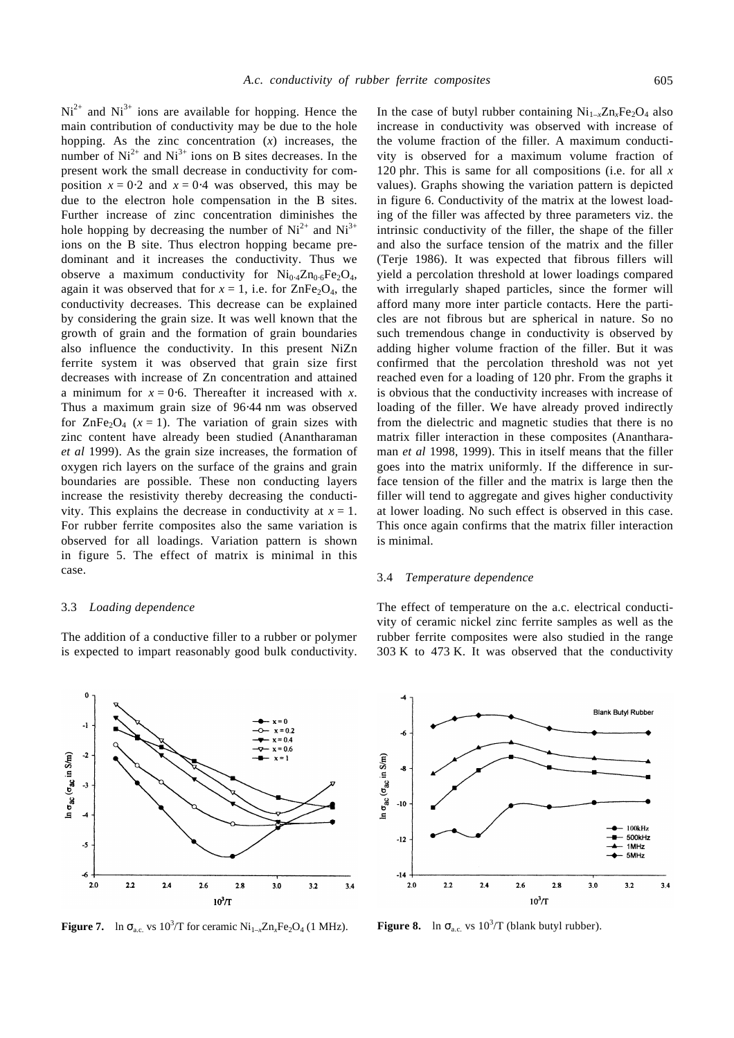$Ni<sup>2+</sup>$  and  $Ni<sup>3+</sup>$  ions are available for hopping. Hence the main contribution of conductivity may be due to the hole hopping. As the zinc concentration  $(x)$  increases, the number of  $Ni^{2+}$  and  $Ni^{3+}$  ions on B sites decreases. In the present work the small decrease in conductivity for composition  $x = 0.2$  and  $x = 0.4$  was observed, this may be due to the electron hole compensation in the B sites. Further increase of zinc concentration diminishes the hole hopping by decreasing the number of  $Ni^{2+}$  and  $Ni^{3+}$ ions on the B site. Thus electron hopping became predominant and it increases the conductivity. Thus we observe a maximum conductivity for  $Ni<sub>0.4</sub>Zn<sub>0.6</sub>Fe<sub>2</sub>O<sub>4</sub>$ , again it was observed that for  $x = 1$ , i.e. for  $\text{ZnFe}_2\text{O}_4$ , the conductivity decreases. This decrease can be explained by considering the grain size. It was well known that the growth of grain and the formation of grain boundaries also influence the conductivity. In this present NiZn ferrite system it was observed that grain size first decreases with increase of Zn concentration and attained a minimum for  $x = 0.6$ . Thereafter it increased with *x*. Thus a maximum grain size of 96⋅44 nm was observed for  $\text{ZnFe}_2\text{O}_4$  ( $x = 1$ ). The variation of grain sizes with zinc content have already been studied (Anantharaman *et al* 1999). As the grain size increases, the formation of oxygen rich layers on the surface of the grains and grain boundaries are possible. These non conducting layers increase the resistivity thereby decreasing the conductivity. This explains the decrease in conductivity at  $x = 1$ . For rubber ferrite composites also the same variation is observed for all loadings. Variation pattern is shown in figure 5. The effect of matrix is minimal in this case.

### 3.3 *Loading dependence*

The addition of a conductive filler to a rubber or polymer is expected to impart reasonably good bulk conductivity.



**Figure 7.** ln  $\mathbf{s}_{\text{a.c.}}$  vs  $10^3/\text{T}$  for ceramic  $\text{Ni}_{1-x}\text{Zn}_x\text{Fe}_2\text{O}_4$ 

In the case of butyl rubber containing  $Ni_{1-x}Zn_xFe_2O_4$  also increase in conductivity was observed with increase of the volume fraction of the filler. A maximum conductivity is observed for a maximum volume fraction of 120 phr. This is same for all compositions (i.e. for all *x* values). Graphs showing the variation pattern is depicted in figure 6. Conductivity of the matrix at the lowest loading of the filler was affected by three parameters viz. the intrinsic conductivity of the filler, the shape of the filler and also the surface tension of the matrix and the filler (Terje 1986). It was expected that fibrous fillers will yield a percolation threshold at lower loadings compared with irregularly shaped particles, since the former will afford many more inter particle contacts. Here the particles are not fibrous but are spherical in nature. So no such tremendous change in conductivity is observed by adding higher volume fraction of the filler. But it was confirmed that the percolation threshold was not yet reached even for a loading of 120 phr. From the graphs it is obvious that the conductivity increases with increase of loading of the filler. We have already proved indirectly from the dielectric and magnetic studies that there is no matrix filler interaction in these composites (Anantharaman *et al* 1998, 1999). This in itself means that the filler goes into the matrix uniformly. If the difference in surface tension of the filler and the matrix is large then the filler will tend to aggregate and gives higher conductivity at lower loading. No such effect is observed in this case. This once again confirms that the matrix filler interaction is minimal.

## 3.4 *Temperature dependence*

The effect of temperature on the a.c. electrical conductivity of ceramic nickel zinc ferrite samples as well as the rubber ferrite composites were also studied in the range 303 K to 473 K. It was observed that the conductivity

**Blank Butvi Rubber** 



(1 MHz). **Figure 8.** ln  $\mathbf{s}_{a.c.}$  vs  $10^3/T$  (blank butyl rubber).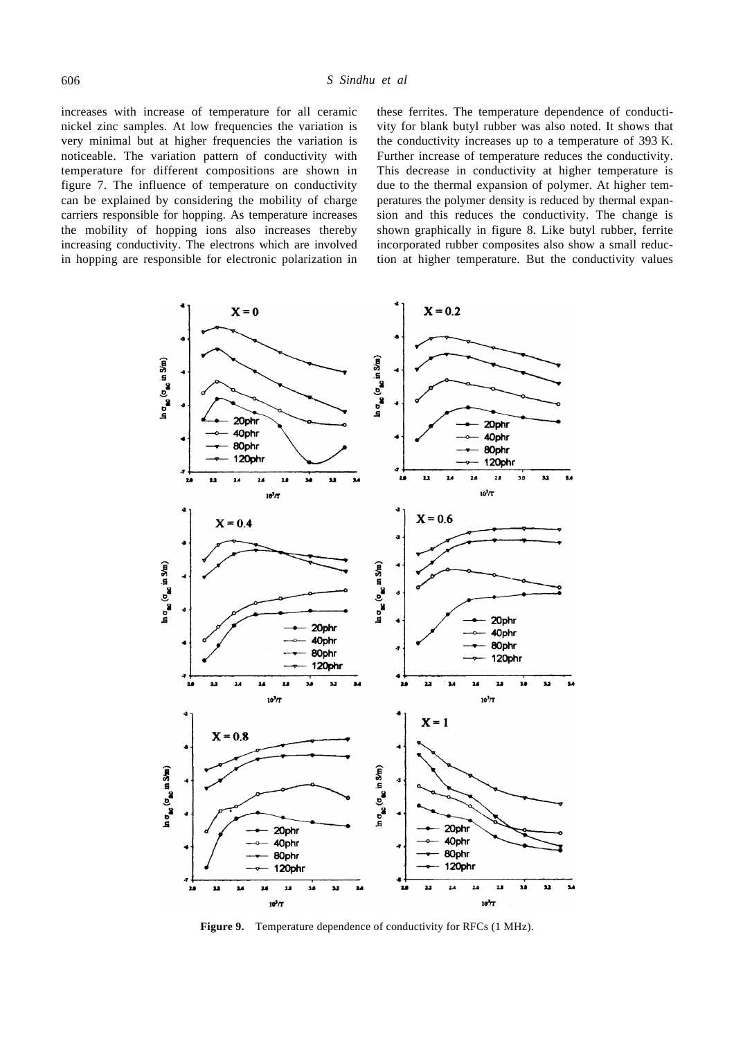increases with increase of temperature for all ceramic nickel zinc samples. At low frequencies the variation is very minimal but at higher frequencies the variation is noticeable. The variation pattern of conductivity with temperature for different compositions are shown in figure 7. The influence of temperature on conductivity can be explained by considering the mobility of charge carriers responsible for hopping. As temperature increases the mobility of hopping ions also increases thereby increasing conductivity. The electrons which are involved in hopping are responsible for electronic polarization in these ferrites. The temperature dependence of conductivity for blank butyl rubber was also noted. It shows that the conductivity increases up to a temperature of 393 K. Further increase of temperature reduces the conductivity. This decrease in conductivity at higher temperature is due to the thermal expansion of polymer. At higher temperatures the polymer density is reduced by thermal expansion and this reduces the conductivity. The change is shown graphically in figure 8. Like butyl rubber, ferrite incorporated rubber composites also show a small reduction at higher temperature. But the conductivity values



**Figure 9.** Temperature dependence of conductivity for RFCs (1 MHz).